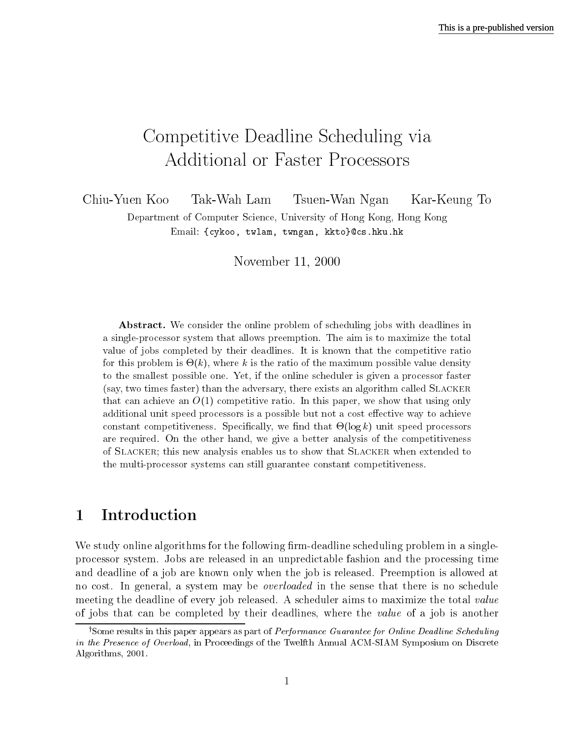# Competitive Deadline Scheduling via **Additional or Faster Processors**

Chiu-Yuen Koo Tak-Wah Lam Tsuen-Wan Ngan Kar-Keung To Department of Computer Science, University of Hong Kong, Hong Kong Email: {cykoo, twlam, twngan, kkto}@cs.hku.hk

November 11, 2000

**Abstract.** We consider the online problem of scheduling jobs with deadlines in a single-processor system that allows preemption. The aim is to maximize the total value of jobs completed by their deadlines. It is known that the competitive ratio for this problem is  $\Theta(k)$ , where k is the ratio of the maximum possible value density to the smallest possible one. Yet, if the online scheduler is given a processor faster (say, two times faster) than the adversary, there exists an algorithm called SLACKER that can achieve an  $O(1)$  competitive ratio. In this paper, we show that using only additional unit speed processors is a possible but not a cost effective way to achieve constant competitiveness. Specifically, we find that  $\Theta(\log k)$  unit speed processors are required. On the other hand, we give a better analysis of the competitiveness of SLACKER; this new analysis enables us to show that SLACKER when extended to the multi-processor systems can still guarantee constant competitiveness.

# Introduction  $\mathbf 1$

We study online algorithms for the following firm-deadline scheduling problem in a singleprocessor system. Jobs are released in an unpredictable fashion and the processing time and deadline of a job are known only when the job is released. Preemption is allowed at no cost. In general, a system may be *overloaded* in the sense that there is no schedule meeting the deadline of every job released. A scheduler aims to maximize the total value of jobs that can be completed by their deadlines, where the value of a job is another

<sup>&</sup>lt;sup>†</sup>Some results in this paper appears as part of *Performance Guarantee for Online Deadline Scheduling* in the Presence of Overload, in Proceedings of the Twelfth Annual ACM-SIAM Symposium on Discrete Algorithms, 2001.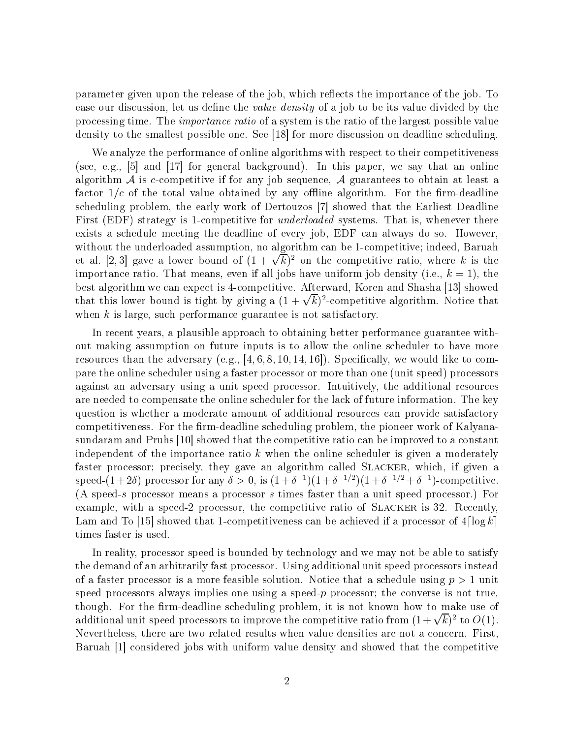parameter given upon the release of the job, which reflects the importance of the job. To ease our discussion, let us define the *value density* of a job to be its value divided by the processing time. The *importance ratio* of a system is the ratio of the largest possible value density to the smallest possible one. See [18] for more discussion on deadline scheduling.

We analyze the performance of online algorithms with respect to their competitiveness (see, e.g., [5] and [17] for general background). In this paper, we say that an online algorithm A is c-competitive if for any job sequence, A guarantees to obtain at least a factor  $1/c$  of the total value obtained by any offline algorithm. For the firm-deadline scheduling problem, the early work of Dertouzos [7] showed that the Earliest Deadline First (EDF) strategy is 1-competitive for *underloaded* systems. That is, whenever there exists a schedule meeting the deadline of every job, EDF can always do so. However. without the underloaded assumption, no algorithm can be 1-competitive; indeed, Baruah et al. [2,3] gave a lower bound of  $(1 + \sqrt{k})^2$  on the competitive ratio, where k is the importance ratio. That means, even if all jobs have uniform job density (i.e.,  $k = 1$ ), the best algorithm we can expect is 4-competitive. Afterward, Koren and Shasha [13] showed that this lower bound is tight by giving a  $(1 + \sqrt{k})^2$ -competitive algorithm. Notice that when  $k$  is large, such performance guarantee is not satisfactory.

In recent years, a plausible approach to obtaining better performance guarantee without making assumption on future inputs is to allow the online scheduler to have more resources than the adversary (e.g., [4, 6, 8, 10, 14, 16]). Specifically, we would like to compare the online scheduler using a faster processor or more than one (unit speed) processors against an adversary using a unit speed processor. Intuitively, the additional resources are needed to compensate the online scheduler for the lack of future information. The key question is whether a moderate amount of additional resources can provide satisfactory competitiveness. For the firm-deadline scheduling problem, the pioneer work of Kalyanasundaram and Pruhs [10] showed that the competitive ratio can be improved to a constant independent of the importance ratio  $k$  when the online scheduler is given a moderately faster processor; precisely, they gave an algorithm called SLACKER, which, if given a speed- $(1+2\delta)$  processor for any  $\delta > 0$ , is  $(1+\delta^{-1})(1+\delta^{-1/2})(1+\delta^{-1/2}+\delta^{-1})$ -competitive. (A speed-s processor means a processor s times faster than a unit speed processor.) For example, with a speed-2 processor, the competitive ratio of SLACKER is 32. Recently, Lam and To [15] showed that 1-competitiveness can be achieved if a processor of  $4\lceil \log k \rceil$ times faster is used.

In reality, processor speed is bounded by technology and we may not be able to satisfy the demand of an arbitrarily fast processor. Using additional unit speed processors instead of a faster processor is a more feasible solution. Notice that a schedule using  $p > 1$  unit speed processors always implies one using a speed- $p$  processor; the converse is not true, though. For the firm-deadline scheduling problem, it is not known how to make use of additional unit speed processors to improve the competitive ratio from  $(1+\sqrt{k})^2$  to  $O(1)$ . Nevertheless, there are two related results when value densities are not a concern. First, Baruah [1] considered jobs with uniform value density and showed that the competitive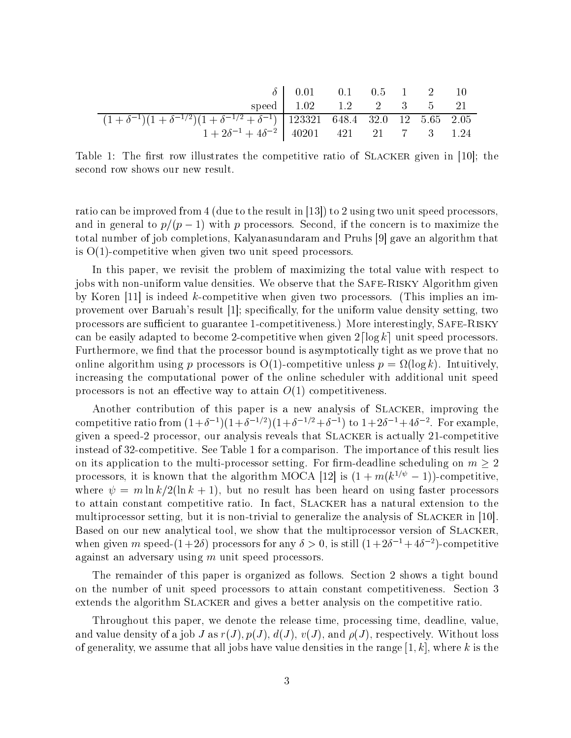|                                                                                                                                 | $\delta$ 0.01 0.1 0.5 1 2 10 |  |  |  |
|---------------------------------------------------------------------------------------------------------------------------------|------------------------------|--|--|--|
|                                                                                                                                 | speed $1.02$ 1.2 2 3 5 21    |  |  |  |
| $\left(1+\delta^{-1}\right)\left(1+\delta^{-1/2}\right)\left(1+\delta^{-1/2}+\delta^{-1}\right)$ 123321 648.4 32.0 12 5.65 2.05 |                              |  |  |  |
| $1+2\delta^{-1}+4\delta^{-2}$ 40201 421 21 7 3 1.24                                                                             |                              |  |  |  |

Table 1: The first row illustrates the competitive ratio of SLACKER given in [10]; the second row shows our new result.

ratio can be improved from 4 (due to the result in [13]) to 2 using two unit speed processors, and in general to  $p/(p-1)$  with p processors. Second, if the concern is to maximize the total number of job completions, Kalyanasundaram and Pruhs [9] gave an algorithm that is  $O(1)$ -competitive when given two unit speed processors.

In this paper, we revisit the problem of maximizing the total value with respect to jobs with non-uniform value densities. We observe that the SAFE-RISKY Algorithm given by Koren [11] is indeed k-competitive when given two processors. (This implies an improvement over Baruah's result  $[1]$ ; specifically, for the uniform value density setting, two processors are sufficient to guarantee 1-competitiveness.) More interestingly, SAFE-RISKY can be easily adapted to become 2-competitive when given  $2\lceil \log k \rceil$  unit speed processors. Furthermore, we find that the processor bound is asymptotically tight as we prove that no online algorithm using p processors is  $O(1)$ -competitive unless  $p = \Omega(\log k)$ . Intuitively, increasing the computational power of the online scheduler with additional unit speed processors is not an effective way to attain  $O(1)$  competitiveness.

Another contribution of this paper is a new analysis of SLACKER, improving the competitive ratio from  $(1+\delta^{-1})(1+\delta^{-1/2})(1+\delta^{-1/2}+\delta^{-1})$  to  $1+2\delta^{-1}+4\delta^{-2}$ . For example, given a speed-2 processor, our analysis reveals that SLACKER is actually 21-competitive instead of 32-competitive. See Table 1 for a comparison. The importance of this result lies on its application to the multi-processor setting. For firm-deadline scheduling on  $m \geq 2$ processors, it is known that the algorithm MOCA [12] is  $(1 + m(k^{1/\psi} - 1))$ -competitive, where  $\psi = m \ln k / 2(\ln k + 1)$ , but no result has been heard on using faster processors to attain constant competitive ratio. In fact, SLACKER has a natural extension to the multiprocessor setting, but it is non-trivial to generalize the analysis of SLACKER in [10]. Based on our new analytical tool, we show that the multiprocessor version of SLACKER, when given m speed- $(1+2\delta)$  processors for any  $\delta > 0$ , is still  $(1+2\delta^{-1}+4\delta^{-2})$ -competitive against an adversary using  $m$  unit speed processors.

The remainder of this paper is organized as follows. Section 2 shows a tight bound on the number of unit speed processors to attain constant competitiveness. Section 3 extends the algorithm SLACKER and gives a better analysis on the competitive ratio.

Throughout this paper, we denote the release time, processing time, deadline, value, and value density of a job J as  $r(J), p(J), d(J), v(J),$  and  $\rho(J)$ , respectively. Without loss of generality, we assume that all jobs have value densities in the range  $[1, k]$ , where k is the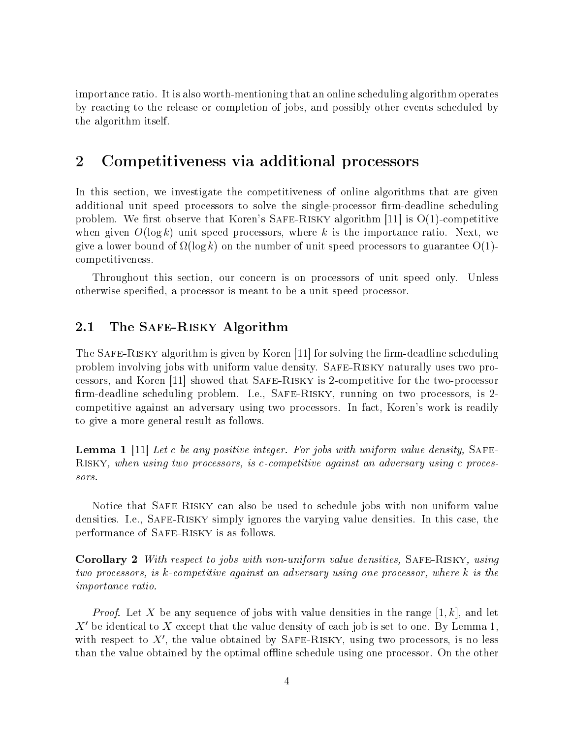importance ratio. It is also worth-mentioning that an online scheduling algorithm operates by reacting to the release or completion of jobs, and possibly other events scheduled by the algorithm itself.

# $\overline{2}$ Competitiveness via additional processors

In this section, we investigate the competitiveness of online algorithms that are given additional unit speed processors to solve the single-processor firm-deadline scheduling problem. We first observe that Koren's SAFE-RISKY algorithm [11] is  $O(1)$ -competitive when given  $O(\log k)$  unit speed processors, where k is the importance ratio. Next, we give a lower bound of  $\Omega(\log k)$  on the number of unit speed processors to guarantee O(1)competitiveness.

Throughout this section, our concern is on processors of unit speed only. Unless otherwise specified, a processor is meant to be a unit speed processor.

#### The SAFE-RISKY Algorithm 2.1

The SAFE-RISKY algorithm is given by Koren [11] for solving the firm-deadline scheduling problem involving jobs with uniform value density. SAFE-RISKY naturally uses two processors, and Koren [11] showed that SAFE-RISKY is 2-competitive for the two-processor firm-deadline scheduling problem. I.e., SAFE-RISKY, running on two processors, is 2competitive against an adversary using two processors. In fact, Koren's work is readily to give a more general result as follows.

**Lemma 1** [11] Let c be any positive integer. For jobs with uniform value density, SAFE-RISKY, when using two processors, is c-competitive against an adversary using c processors.

Notice that SAFE-RISKY can also be used to schedule jobs with non-uniform value densities. I.e., SAFE-RISKY simply ignores the varying value densities. In this case, the performance of SAFE-RISKY is as follows.

**Corollary 2** With respect to jobs with non-uniform value densities, SAFE-RISKY, using two processors, is k-competitive against an adversary using one processor, where k is the *importance ratio.* 

*Proof.* Let X be any sequence of jobs with value densities in the range [1, k], and let  $X'$  be identical to X except that the value density of each job is set to one. By Lemma 1, with respect to  $X'$ , the value obtained by SAFE-RISKY, using two processors, is no less than the value obtained by the optimal offline schedule using one processor. On the other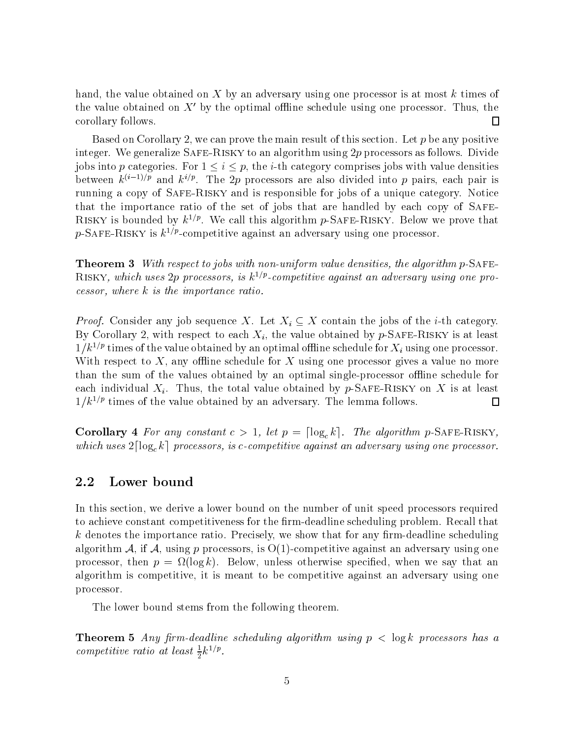hand, the value obtained on  $X$  by an adversary using one processor is at most  $k$  times of the value obtained on  $X'$  by the optimal offline schedule using one processor. Thus, the corollary follows.  $\Box$ 

Based on Corollary 2, we can prove the main result of this section. Let  $p$  be any positive integer. We generalize SAFE-RISKY to an algorithm using  $2p$  processors as follows. Divide jobs into p categories. For  $1 \leq i \leq p$ , the *i*-th category comprises jobs with value densities between  $k^{(i-1)/p}$  and  $k^{i/p}$ . The 2p processors are also divided into p pairs, each pair is running a copy of SAFE-RISKY and is responsible for jobs of a unique category. Notice that the importance ratio of the set of jobs that are handled by each copy of SAFE-RISKY is bounded by  $k^{1/p}$ . We call this algorithm p-SAFE-RISKY. Below we prove that p-SAFE-RISKY is  $k^{1/p}$ -competitive against an adversary using one processor.

**Theorem 3** With respect to jobs with non-uniform value densities, the algorithm  $p$ -SAFE-RISKY, which uses 2p processors, is  $k^{1/p}$ -competitive against an adversary using one pro- $\cos sor$ , where  $k$  is the importance ratio.

*Proof.* Consider any job sequence X. Let  $X_i \subseteq X$  contain the jobs of the *i*-th category. By Corollary 2, with respect to each  $X_i$ , the value obtained by p-SAFE-RISKY is at least  $1/k^{1/p}$  times of the value obtained by an optimal offline schedule for  $X_i$  using one processor. With respect to X, any offline schedule for X using one processor gives a value no more than the sum of the values obtained by an optimal single-processor offline schedule for each individual  $X_i$ . Thus, the total value obtained by p-SAFE-RISKY on X is at least  $1/k^{1/p}$  times of the value obtained by an adversary. The lemma follows.  $\Box$ 

**Corollary** 4 For any constant  $c > 1$ , let  $p = \lceil \log_c k \rceil$ . The algorithm p-SAFE-RISKY, which uses  $2\lceil \log_{c} k \rceil$  processors, is c-competitive against an adversary using one processor.

#### 2.2 Lower bound

In this section, we derive a lower bound on the number of unit speed processors required to achieve constant competitiveness for the firm-deadline scheduling problem. Recall that  $k$  denotes the importance ratio. Precisely, we show that for any firm-deadline scheduling algorithm A, if A, using p processors, is  $O(1)$ -competitive against an adversary using one processor, then  $p = \Omega(\log k)$ . Below, unless otherwise specified, when we say that an algorithm is competitive, it is meant to be competitive against an adversary using one processor.

The lower bound stems from the following theorem.

**Theorem 5** Any firm-deadline scheduling algorithm using  $p < log k$  processors has a competitive ratio at least  $\frac{1}{2}k^{1/p}$ .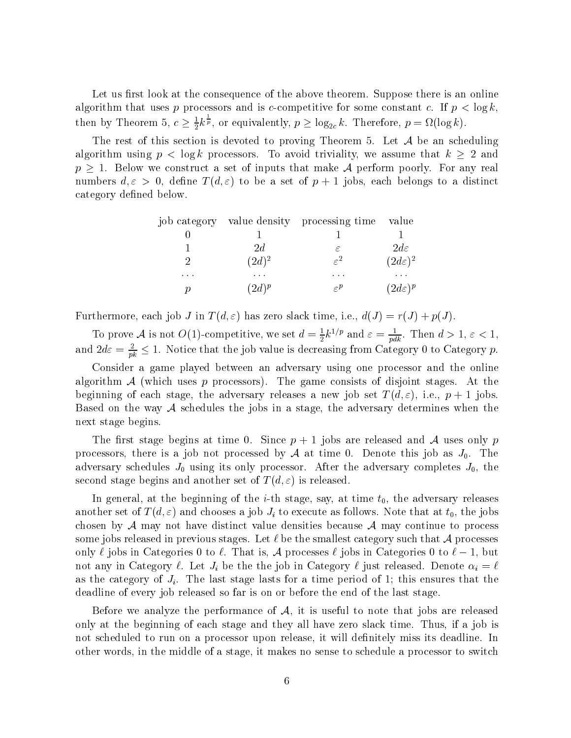Let us first look at the consequence of the above theorem. Suppose there is an online algorithm that uses p processors and is c-competitive for some constant c. If  $p < \log k$ , then by Theorem 5,  $c \geq \frac{1}{2}k^{\frac{1}{p}}$ , or equivalently,  $p \geq \log_{2c} k$ . Therefore,  $p = \Omega(\log k)$ .

The rest of this section is devoted to proving Theorem 5. Let  $A$  be an scheduling algorithm using  $p < \log k$  processors. To avoid triviality, we assume that  $k \geq 2$  and  $p \geq 1$ . Below we construct a set of inputs that make A perform poorly. For any real numbers  $d, \varepsilon > 0$ , define  $T(d, \varepsilon)$  to be a set of  $p + 1$  jobs, each belongs to a distinct category defined below.

|          |          | job category value density processing time | value               |
|----------|----------|--------------------------------------------|---------------------|
|          |          |                                            |                     |
|          | 2d       | ε                                          | $2d\varepsilon$     |
| 9        | $(2d)^2$ | $\varepsilon^2$                            | $(2d\varepsilon)^2$ |
| $\cdots$ | $\cdots$ | $\cdots$                                   |                     |
|          | $(2d)^p$ | $\subset P$                                | $(2d\varepsilon)^p$ |

Furthermore, each job J in  $T(d,\varepsilon)$  has zero slack time, i.e.,  $d(J) = r(J) + p(J)$ .

To prove A is not O(1)-competitive, we set  $d = \frac{1}{2}k^{1/p}$  and  $\varepsilon = \frac{1}{pdk}$ . Then  $d > 1$ ,  $\varepsilon < 1$ , and  $2d\varepsilon = \frac{2}{pk} \leq 1$ . Notice that the job value is decreasing from Category 0 to Category p.

Consider a game played between an adversary using one processor and the online algorithm  $A$  (which uses p processors). The game consists of disjoint stages. At the beginning of each stage, the adversary releases a new job set  $T(d, \varepsilon)$ , i.e.,  $p + 1$  jobs. Based on the way  $A$  schedules the jobs in a stage, the adversary determines when the next stage begins.

The first stage begins at time 0. Since  $p + 1$  jobs are released and A uses only p processors, there is a job not processed by  $A$  at time 0. Denote this job as  $J_0$ . The adversary schedules  $J_0$  using its only processor. After the adversary completes  $J_0$ , the second stage begins and another set of  $T(d, \varepsilon)$  is released.

In general, at the beginning of the *i*-th stage, say, at time  $t_0$ , the adversary releases another set of  $T(d,\varepsilon)$  and chooses a job  $J_i$  to execute as follows. Note that at  $t_0$ , the jobs chosen by  $A$  may not have distinct value densities because  $A$  may continue to process some jobs released in previous stages. Let  $\ell$  be the smallest category such that A processes only  $\ell$  jobs in Categories 0 to  $\ell$ . That is, A processes  $\ell$  jobs in Categories 0 to  $\ell - 1$ , but not any in Category  $\ell$ . Let  $J_i$  be the the job in Category  $\ell$  just released. Denote  $\alpha_i = \ell$ as the category of  $J_i$ . The last stage lasts for a time period of 1; this ensures that the deadline of every job released so far is on or before the end of the last stage.

Before we analyze the performance of  $A$ , it is useful to note that jobs are released only at the beginning of each stage and they all have zero slack time. Thus, if a job is not scheduled to run on a processor upon release, it will definitely miss its deadline. In other words, in the middle of a stage, it makes no sense to schedule a processor to switch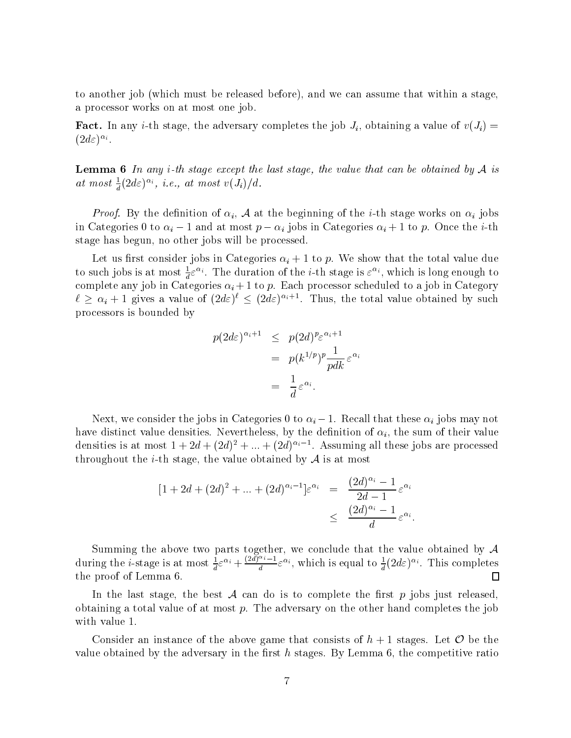to another job (which must be released before), and we can assume that within a stage, a processor works on at most one job.

**Fact.** In any *i*-th stage, the adversary completes the job  $J_i$ , obtaining a value of  $v(J_i)$  =  $(2d\varepsilon)^{\alpha_i}.$ 

**Lemma 6** In any *i*-th stage except the last stage, the value that can be obtained by  $A$  is at most  $\frac{1}{d}(2d\varepsilon)^{\alpha_i}$ , *i.e.*, at most  $v(J_i)/d$ .

*Proof.* By the definition of  $\alpha_i$ , A at the beginning of the *i*-th stage works on  $\alpha_i$  jobs in Categories 0 to  $\alpha_i - 1$  and at most  $p - \alpha_i$  jobs in Categories  $\alpha_i + 1$  to p. Once the *i*-th stage has begun, no other jobs will be processed.

Let us first consider jobs in Categories  $\alpha_i + 1$  to p. We show that the total value due to such jobs is at most  $\frac{1}{d} \varepsilon^{\alpha_i}$ . The duration of the *i*-th stage is  $\varepsilon^{\alpha_i}$ , which is long enough to complete any job in Categories  $\alpha_i + 1$  to p. Each processor scheduled to a job in Category  $\ell \geq \alpha_i + 1$  gives a value of  $(2d\varepsilon)^{\ell} \leq (2d\varepsilon)^{\alpha_i+1}$ . Thus, the total value obtained by such processors is bounded by

$$
p(2d\varepsilon)^{\alpha_i+1} \leq p(2d)^p \varepsilon^{\alpha_i+1}
$$
  
=  $p(k^{1/p})^p \frac{1}{pdk} \varepsilon^{\alpha_i}$   
=  $\frac{1}{d} \varepsilon^{\alpha_i}$ .

Next, we consider the jobs in Categories 0 to  $\alpha_i - 1$ . Recall that these  $\alpha_i$  jobs may not have distinct value densities. Nevertheless, by the definition of  $\alpha_i$ , the sum of their value densities is at most  $1 + 2d + (2d)^2 + ... + (2d)^{\alpha_i-1}$ . Assuming all these jobs are processed throughout the *i*-th stage, the value obtained by  $A$  is at most

$$
[1+2d+(2d)^2+...+(2d)^{\alpha_i-1}] \varepsilon^{\alpha_i} = \frac{(2d)^{\alpha_i}-1}{2d-1} \varepsilon^{\alpha_i}
$$
  

$$
\leq \frac{(2d)^{\alpha_i}-1}{d} \varepsilon^{\alpha_i}
$$

Summing the above two parts together, we conclude that the value obtained by  $A$ during the *i*-stage is at most  $\frac{1}{d} \varepsilon^{\alpha_i} + \frac{(2d)^{\alpha_i}-1}{d} \varepsilon^{\alpha_i}$ , which is equal to  $\frac{1}{d}(2d\varepsilon)^{\alpha_i}$ . This completes the proof of Lemma 6.  $\Box$ 

In the last stage, the best  $A$  can do is to complete the first  $p$  jobs just released, obtaining a total value of at most  $p$ . The adversary on the other hand completes the job with value 1.

Consider an instance of the above game that consists of  $h + 1$  stages. Let  $\mathcal O$  be the value obtained by the adversary in the first  $h$  stages. By Lemma 6, the competitive ratio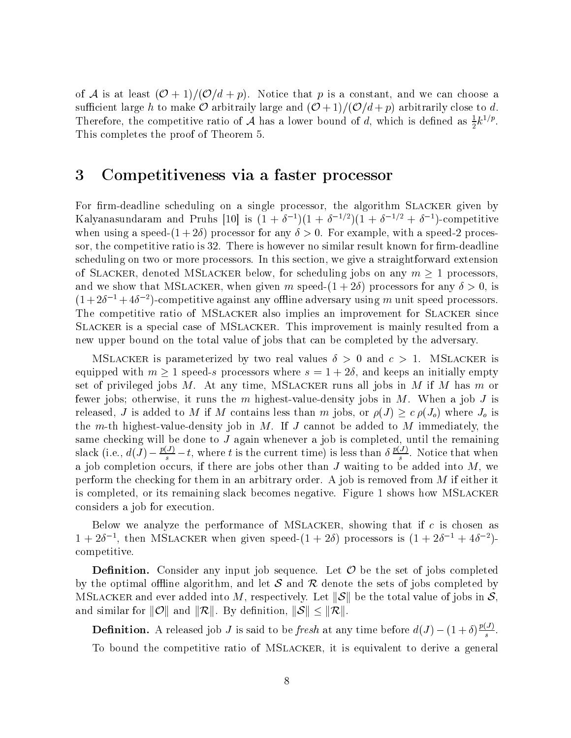of A is at least  $(\mathcal{O} + 1)/(\mathcal{O}/d + p)$ . Notice that p is a constant, and we can choose a sufficient large h to make  $\mathcal O$  arbitraily large and  $(\mathcal O+1)/(\mathcal O/d+p)$  arbitrarily close to d. Therefore, the competitive ratio of A has a lower bound of d, which is defined as  $\frac{1}{2}k^{1/p}$ . This completes the proof of Theorem 5.

### 3 Competitiveness via a faster processor

For firm-deadline scheduling on a single processor, the algorithm SLACKER given by Kalyanasundaram and Pruhs [10] is  $(1 + \delta^{-1})(1 + \delta^{-1/2})(1 + \delta^{-1/2} + \delta^{-1})$ -competitive when using a speed- $(1+2\delta)$  processor for any  $\delta > 0$ . For example, with a speed-2 processor, the competitive ratio is 32. There is however no similar result known for firm-deadline scheduling on two or more processors. In this section, we give a straightforward extension of SLACKER, denoted MSLACKER below, for scheduling jobs on any  $m \ge 1$  processors, and we show that MSLACKER, when given m speed- $(1 + 2\delta)$  processors for any  $\delta > 0$ , is  $(1+2\delta^{-1}+4\delta^{-2})$ -competitive against any offline adversary using m unit speed processors. The competitive ratio of MSLACKER also implies an improvement for SLACKER since SLACKER is a special case of MSLACKER. This improvement is mainly resulted from a new upper bound on the total value of jobs that can be completed by the adversary.

MSLACKER is parameterized by two real values  $\delta > 0$  and  $c > 1$ . MSLACKER is equipped with  $m \ge 1$  speed-s processors where  $s = 1 + 2\delta$ , and keeps an initially empty set of privileged jobs  $M$ . At any time, MSLACKER runs all jobs in  $M$  if  $M$  has  $m$  or fewer jobs; otherwise, it runs the  $m$  highest-value-density jobs in  $M$ . When a job  $J$  is released, J is added to M if M contains less than m jobs, or  $\rho(J) \geq c \rho(J_o)$  where  $J_o$  is the m-th highest-value-density job in  $M$ . If  $J$  cannot be added to  $M$  immediately, the same checking will be done to  $J$  again whenever a job is completed, until the remaining slack (i.e.,  $d(\tilde{J}) - \frac{p(J)}{s} - t$ , where t is the current time) is less than  $\delta \frac{p(J)}{s}$ . Notice that when a job completion occurs, if there are jobs other than  $J$  waiting to be added into  $M$ , we perform the checking for them in an arbitrary order. A job is removed from  $M$  if either it is completed, or its remaining slack becomes negative. Figure 1 shows how MSLACKER considers a job for execution.

Below we analyze the performance of MSLACKER, showing that if  $c$  is chosen as  $1+2\delta^{-1}$ , then MSLACKER when given speed- $(1+2\delta)$  processors is  $(1+2\delta^{-1}+4\delta^{-2})$ competitive.

**Definition.** Consider any input job sequence. Let  $\mathcal O$  be the set of jobs completed by the optimal offline algorithm, and let  $S$  and  $R$  denote the sets of jobs completed by MSLACKER and ever added into M, respectively. Let  $||\mathcal{S}||$  be the total value of jobs in  $\mathcal{S}$ , and similar for  $||\mathcal{O}||$  and  $||\mathcal{R}||$ . By definition,  $||\mathcal{S}|| \leq ||\mathcal{R}||$ .

**Definition.** A released job J is said to be fresh at any time before  $d(J) - (1+\delta)\frac{p(J)}{s}$ . To bound the competitive ratio of MSLACKER, it is equivalent to derive a general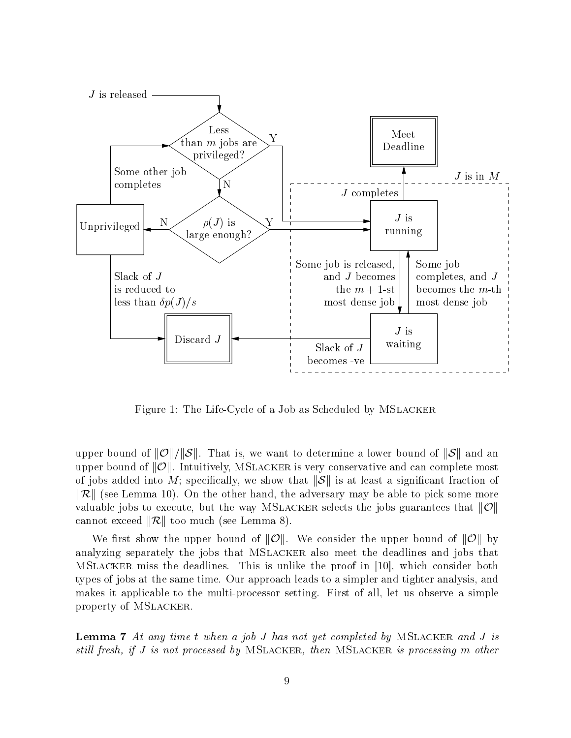

Figure 1: The Life-Cycle of a Job as Scheduled by MSLACKER

upper bound of  $||\mathcal{O}||/||\mathcal{S}||$ . That is, we want to determine a lower bound of  $||\mathcal{S}||$  and an upper bound of  $||\mathcal{O}||$ . Intuitively, MSLACKER is very conservative and can complete most of jobs added into M; specifically, we show that  $\|\mathcal{S}\|$  is at least a significant fraction of  $\|\mathcal{R}\|$  (see Lemma 10). On the other hand, the adversary may be able to pick some more valuable jobs to execute, but the way MSLACKER selects the jobs guarantees that  $\|\mathcal{O}\|$ cannot exceed  $\|\mathcal{R}\|$  too much (see Lemma 8).

We first show the upper bound of  $||\mathcal{O}||$ . We consider the upper bound of  $||\mathcal{O}||$  by analyzing separately the jobs that MSLACKER also meet the deadlines and jobs that MSLACKER miss the deadlines. This is unlike the proof in [10], which consider both types of jobs at the same time. Our approach leads to a simpler and tighter analysis, and makes it applicable to the multi-processor setting. First of all, let us observe a simple property of MSLACKER.

**Lemma 7** At any time t when a job J has not yet completed by MSLACKER and J is still fresh, if J is not processed by MSLACKER, then MSLACKER is processing m other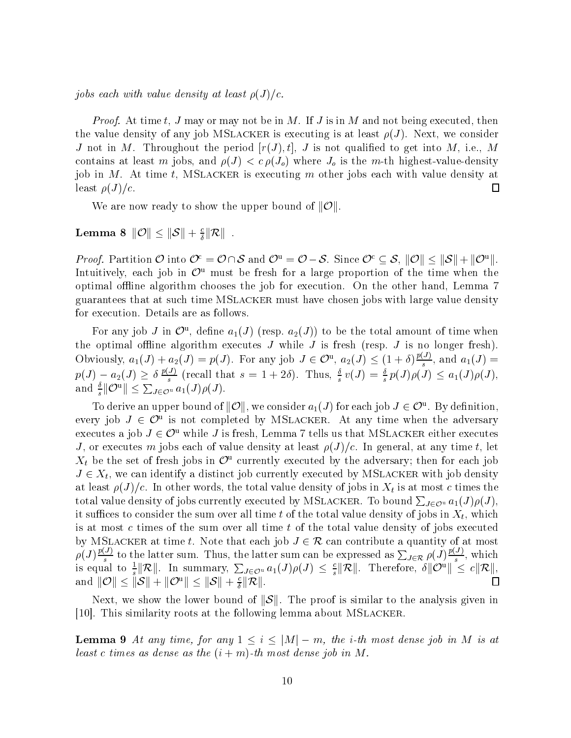jobs each with value density at least  $\rho(J)/c$ .

*Proof.* At time t, J may or may not be in M. If J is in M and not being executed, then the value density of any job MSLACKER is executing is at least  $\rho(J)$ . Next, we consider J not in M. Throughout the period  $[r(J), t]$ , J is not qualified to get into M, i.e., M contains at least m jobs, and  $\rho(J) < c \rho(J_o)$  where  $J_o$  is the m-th highest-value-density job in M. At time t, MSLACKER is executing m other jobs each with value density at least  $\rho(J)/c$ .  $\Box$ 

We are now ready to show the upper bound of  $\|\mathcal{O}\|$ 

Lemma 8  $||\mathcal{O}|| \leq ||\mathcal{S}|| + \frac{c}{\lambda}||\mathcal{R}||$ .

*Proof.* Partition  $\mathcal{O}$  into  $\mathcal{O}^c = \mathcal{O} \cap \mathcal{S}$  and  $\mathcal{O}^u = \mathcal{O} - \mathcal{S}$ . Since  $\mathcal{O}^c \subseteq \mathcal{S}$ ,  $\|\mathcal{O}\| \leq \|\mathcal{S}\| + \|\mathcal{O}^u\|$ . Intuitively, each job in  $\mathcal{O}^u$  must be fresh for a large proportion of the time when the optimal offline algorithm chooses the job for execution. On the other hand, Lemma 7 guarantees that at such time MSLACKER must have chosen jobs with large value density for execution. Details are as follows.

For any job J in  $\mathcal{O}^{\mathrm{u}}$ , define  $a_1(J)$  (resp.  $a_2(J)$ ) to be the total amount of time when the optimal offline algorithm executes  $J$  while  $J$  is fresh (resp.  $J$  is no longer fresh). Obviously,  $a_1(J) + a_2(J) = p(J)$ . For any job  $J \in \mathcal{O}^{\mathfrak{u}}, a_2(J) \leq (1+\delta)\frac{p(J)}{s}$ , and  $a_1(J) =$  $p(J) - a_2(J) \ge \delta \frac{p(J)}{s}$  (recall that  $s = 1 + 2\delta$ ). Thus,  $\frac{\delta}{s}v(J) = \frac{\delta}{s}p(J)\rho(J) \le a_1(J)\rho(J)$ ,<br>and  $\frac{\delta}{s}||\mathcal{O}^u|| \le \sum_{J \in \mathcal{O}^u} a_1(J)\rho(J)$ .

To derive an upper bound of  $||\mathcal{O}||$ , we consider  $a_1(J)$  for each job  $J \in \mathcal{O}^u$ . By definition, every job  $J \in \mathcal{O}^{\mathfrak{u}}$  is not completed by MSLACKER. At any time when the adversary executes a job  $J \in \mathcal{O}^{\text{u}}$  while J is fresh, Lemma 7 tells us that MSLACKER either executes J, or executes m jobs each of value density at least  $\rho(J)/c$ . In general, at any time t, let  $X_t$  be the set of fresh jobs in  $\mathcal{O}^{\mathrm{u}}$  currently executed by the adversary; then for each job  $J \in X_t$ , we can identify a distinct job currently executed by MSLACKER with job density at least  $\rho(J)/c$ . In other words, the total value density of jobs in  $X_t$  is at most c times the total value density of jobs currently executed by MSLACKER. To bound  $\sum_{J \in \mathcal{O}^u} a_1(J)\rho(J)$ , it suffices to consider the sum over all time t of the total value density of jobs in  $X_t$ , which is at most  $c$  times of the sum over all time  $t$  of the total value density of jobs executed by MSLACKER at time t. Note that each job  $J \in \mathcal{R}$  can contribute a quantity of at most  $\rho(J) \frac{p(J)}{s}$  to the latter sum. Thus, the latter sum can be expressed as  $\sum_{J \in \mathcal{R}} \rho(J) \frac{p(J)}{s}$ , which<br>is equal to  $\frac{1}{s} ||\mathcal{R}||$ . In summary,  $\sum_{J \in \mathcal{O}^u} a_1(J)\rho(J) \leq \frac{c}{s} ||\mathcal{R}||$ . Therefore,  $\delta ||\mathcal{O}^$ and  $||\mathcal{O}|| \leq ||\mathcal{S}|| + ||\mathcal{O}^{\mathrm{u}}|| \leq ||\mathcal{S}|| + \frac{c}{\delta}||\mathcal{R}||.$  $\Box$ 

Next, we show the lower bound of  $||\mathcal{S}||$ . The proof is similar to the analysis given in [10]. This similarity roots at the following lemma about MSLACKER.

**Lemma 9** At any time, for any  $1 \leq i \leq |M| - m$ , the *i*-th most dense job in M is at least c times as dense as the  $(i + m)$ -th most dense job in M.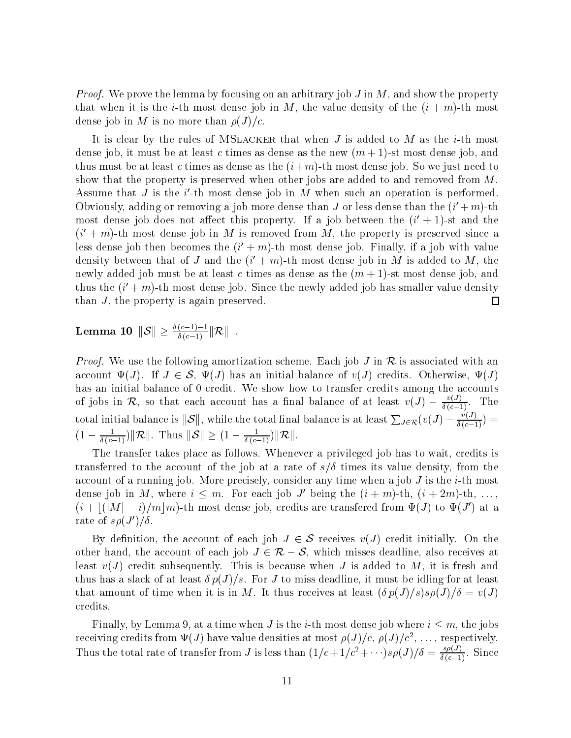*Proof.* We prove the lemma by focusing on an arbitrary job J in M, and show the property that when it is the *i*-th most dense job in M, the value density of the  $(i + m)$ -th most dense job in M is no more than  $\rho(J)/c$ .

It is clear by the rules of MSLACKER that when J is added to M as the *i*-th most dense job, it must be at least c times as dense as the new  $(m + 1)$ -st most dense job, and thus must be at least c times as dense as the  $(i+m)$ -th most dense job. So we just need to show that the property is preserved when other jobs are added to and removed from  $M$ . Assume that J is the  $i'$ -th most dense job in M when such an operation is performed. Obviously, adding or removing a job more dense than J or less dense than the  $(i' + m)$ -th most dense job does not affect this property. If a job between the  $(i' + 1)$ -st and the  $(i' + m)$ -th most dense job in M is removed from M, the property is preserved since a less dense job then becomes the  $(i' + m)$ -th most dense job. Finally, if a job with value density between that of J and the  $(i' + m)$ -th most dense job in M is added to M, the newly added job must be at least c times as dense as the  $(m + 1)$ -st most dense job, and thus the  $(i' + m)$ -th most dense job. Since the newly added job has smaller value density than  $J$ , the property is again preserved.  $\Box$ 

Lemma 10  $||S|| \geq \frac{\delta(c-1)-1}{\delta(c-1)} ||R||$ .

*Proof.* We use the following amortization scheme. Each job J in R is associated with an account  $\Psi(J)$ . If  $J \in \mathcal{S}$ ,  $\Psi(J)$  has an initial balance of  $v(J)$  credits. Otherwise,  $\Psi(J)$ has an initial balance of 0 credit. We show how to transfer credits among the accounts of jobs in R, so that each account has a final balance of at least  $v(J) - \frac{v(J)}{\delta(c-1)}$ . The total initial balance is  $||\mathcal{S}||$ , while the total final balance is at least  $\sum_{J \in \mathcal{R}} (v(J) - \frac{v(J)}{\delta(c-1)}) =$  $(1 - \frac{1}{\delta(c-1)}) ||\mathcal{R}||$ . Thus  $||\mathcal{S}|| \geq (1 - \frac{1}{\delta(c-1)}) ||\mathcal{R}||$ .

The transfer takes place as follows. Whenever a privileged job has to wait, credits is transferred to the account of the job at a rate of  $s/\delta$  times its value density, from the account of a running job. More precisely, consider any time when a job J is the *i*-th most dense job in M, where  $i \leq m$ . For each job J' being the  $(i + m)$ -th,  $(i + 2m)$ -th, ...  $(i+|(|M|-i)/m|m)$ -th most dense job, credits are transfered from  $\Psi(J)$  to  $\Psi(J')$  at a rate of  $s\rho(J')/\delta$ .

By definition, the account of each job  $J \in \mathcal{S}$  receives  $v(J)$  credit initially. On the other hand, the account of each job  $J \in \mathcal{R} - \mathcal{S}$ , which misses deadline, also receives at least  $v(J)$  credit subsequently. This is because when J is added to M, it is fresh and thus has a slack of at least  $\delta p(J)/s$ . For J to miss deadline, it must be idling for at least that amount of time when it is in M. It thus receives at least  $(\delta p(J)/s) s \rho(J)/\delta = v(J)$ credits.

Finally, by Lemma 9, at a time when J is the *i*-th most dense job where  $i \leq m$ , the jobs receiving credits from  $\Psi(J)$  have value densities at most  $\rho(J)/c$ ,  $\rho(J)/c^2$ , ..., respectively. Thus the total rate of transfer from J is less than  $(1/c + 1/c^2 + \cdots) s\rho(J)/\delta = \frac{s\rho(J)}{\delta(c-1)}$ . Since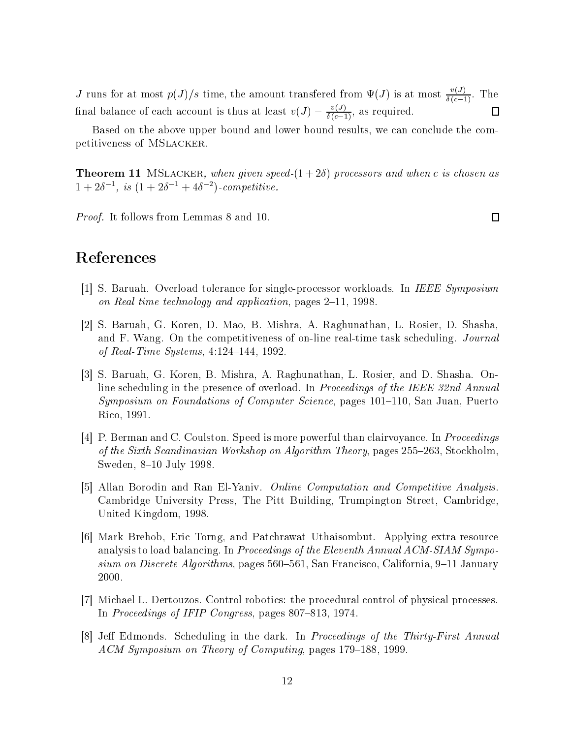J runs for at most  $p(J)/s$  time, the amount transfered from  $\Psi(J)$  is at most  $\frac{v(J)}{\delta(c-1)}$ . The final balance of each account is thus at least  $v(J) - \frac{v(J)}{\delta(c-1)}$ , as required.  $\Box$ 

Based on the above upper bound and lower bound results, we can conclude the competitiveness of MSLACKER.

**Theorem 11** MSLACKER, when given speed- $(1+2\delta)$  processors and when c is chosen as  $1 + 2\delta^{-1}$ , is  $(1 + 2\delta^{-1} + 4\delta^{-2})$ -competitive.

*Proof.* It follows from Lemmas 8 and 10.

 $\Box$ 

# References

- [1] S. Baruah. Overload tolerance for single-processor workloads. In IEEE Symposium on Real time technology and application, pages 2–11, 1998.
- [2] S. Baruah, G. Koren, D. Mao, B. Mishra, A. Raghunathan, L. Rosier, D. Shasha, and F. Wang. On the competitiveness of on-line real-time task scheduling. Journal of Real-Time Systems,  $4:124-144$ , 1992.
- [3] S. Baruah, G. Koren, B. Mishra, A. Raghunathan, L. Rosier, and D. Shasha. Online scheduling in the presence of overload. In *Proceedings of the IEEE 32nd Annual Symposium on Foundations of Computer Science*, pages 101–110, San Juan, Puerto Rico, 1991.
- [4] P. Berman and C. Coulston. Speed is more powerful than clairvoyance. In *Proceedings* of the Sixth Scandinavian Workshop on Algorithm Theory, pages 255-263, Stockholm, Sweden, 8-10 July 1998.
- [5] Allan Borodin and Ran El-Yaniv. *Online Computation and Competitive Analysis*. Cambridge University Press, The Pitt Building, Trumpington Street, Cambridge, United Kingdom, 1998
- [6] Mark Brehob, Eric Torng, and Patchrawat Uthaisombut. Applying extra-resource analysis to load balancing. In Proceedings of the Eleventh Annual ACM-SIAM Symposium on Discrete Algorithms, pages 560–561, San Francisco, California, 9–11 January 2000.
- [7] Michael L. Dertouzos. Control robotics: the procedural control of physical processes. In Proceedings of IFIP Congress, pages 807–813, 1974.
- [8] Jeff Edmonds. Scheduling in the dark. In Proceedings of the Thirty-First Annual ACM Symposium on Theory of Computing, pages 179-188, 1999.